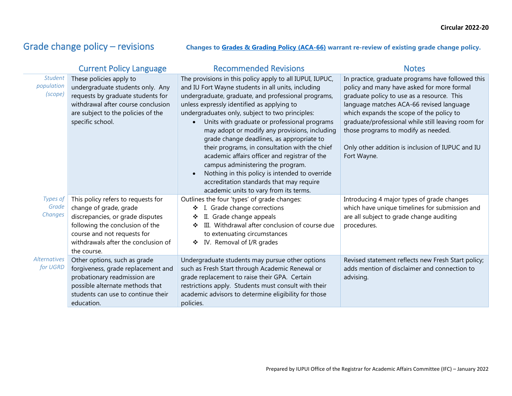L.

## Grade change policy – revisions changes to [Grades & Grading Policy \(ACA-66\)](https://policies.iu.edu/policies/aca-66-grades-and-grading/index.html) warrant re-review of existing grade change policy.

|                                         | <b>Current Policy Language</b>                                                                                                                                                                                           | <b>Recommended Revisions</b>                                                                                                                                                                                                                                                                                                                                                                                                                                                                                                                                                                                                                                                                         | <b>Notes</b>                                                                                                                                                                                                                                                                                                                                                                                          |
|-----------------------------------------|--------------------------------------------------------------------------------------------------------------------------------------------------------------------------------------------------------------------------|------------------------------------------------------------------------------------------------------------------------------------------------------------------------------------------------------------------------------------------------------------------------------------------------------------------------------------------------------------------------------------------------------------------------------------------------------------------------------------------------------------------------------------------------------------------------------------------------------------------------------------------------------------------------------------------------------|-------------------------------------------------------------------------------------------------------------------------------------------------------------------------------------------------------------------------------------------------------------------------------------------------------------------------------------------------------------------------------------------------------|
| <b>Student</b><br>population<br>(scope) | These policies apply to<br>undergraduate students only. Any<br>requests by graduate students for<br>withdrawal after course conclusion<br>are subject to the policies of the<br>specific school.                         | The provisions in this policy apply to all IUPUI, IUPUC,<br>and IU Fort Wayne students in all units, including<br>undergraduate, graduate, and professional programs,<br>unless expressly identified as applying to<br>undergraduates only, subject to two principles:<br>Units with graduate or professional programs<br>may adopt or modify any provisions, including<br>grade change deadlines, as appropriate to<br>their programs, in consultation with the chief<br>academic affairs officer and registrar of the<br>campus administering the program.<br>Nothing in this policy is intended to override<br>accreditation standards that may require<br>academic units to vary from its terms. | In practice, graduate programs have followed this<br>policy and many have asked for more formal<br>graduate policy to use as a resource. This<br>language matches ACA-66 revised language<br>which expands the scope of the policy to<br>graduate/professional while still leaving room for<br>those programs to modify as needed.<br>Only other addition is inclusion of IUPUC and IU<br>Fort Wayne. |
| Types of<br>Grade<br>Changes            | This policy refers to requests for<br>change of grade, grade<br>discrepancies, or grade disputes<br>following the conclusion of the<br>course and not requests for<br>withdrawals after the conclusion of<br>the course. | Outlines the four 'types' of grade changes:<br>I. Grade change corrections<br>❖<br>II. Grade change appeals<br>❖<br>III. Withdrawal after conclusion of course due<br>❖<br>to extenuating circumstances<br>IV. Removal of I/R grades<br>❖                                                                                                                                                                                                                                                                                                                                                                                                                                                            | Introducing 4 major types of grade changes<br>which have unique timelines for submission and<br>are all subject to grade change auditing<br>procedures.                                                                                                                                                                                                                                               |
| <b>Alternatives</b><br>for UGRD         | Other options, such as grade<br>forgiveness, grade replacement and<br>probationary readmission are<br>possible alternate methods that<br>students can use to continue their<br>education.                                | Undergraduate students may pursue other options<br>such as Fresh Start through Academic Renewal or<br>grade replacement to raise their GPA. Certain<br>restrictions apply. Students must consult with their<br>academic advisors to determine eligibility for those<br>policies.                                                                                                                                                                                                                                                                                                                                                                                                                     | Revised statement reflects new Fresh Start policy;<br>adds mention of disclaimer and connection to<br>advising.                                                                                                                                                                                                                                                                                       |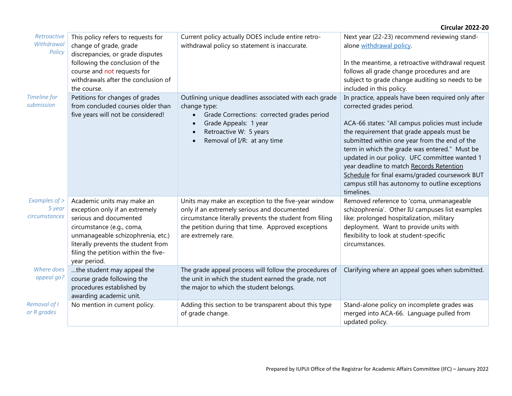|                                          |                                                                                                                                                                                                                                                         |                                                                                                                                                                                                                                              | <b>Circular 2022-20</b>                                                                                                                                                                                                                                                                                                                                                                                                                                                                            |
|------------------------------------------|---------------------------------------------------------------------------------------------------------------------------------------------------------------------------------------------------------------------------------------------------------|----------------------------------------------------------------------------------------------------------------------------------------------------------------------------------------------------------------------------------------------|----------------------------------------------------------------------------------------------------------------------------------------------------------------------------------------------------------------------------------------------------------------------------------------------------------------------------------------------------------------------------------------------------------------------------------------------------------------------------------------------------|
| Retroactive<br>Withdrawal<br>Policy      | This policy refers to requests for<br>change of grade, grade<br>discrepancies, or grade disputes<br>following the conclusion of the<br>course and not requests for<br>withdrawals after the conclusion of<br>the course.                                | Current policy actually DOES include entire retro-<br>withdrawal policy so statement is inaccurate.                                                                                                                                          | Next year (22-23) recommend reviewing stand-<br>alone withdrawal policy.<br>In the meantime, a retroactive withdrawal request<br>follows all grade change procedures and are<br>subject to grade change auditing so needs to be<br>included in this policy.                                                                                                                                                                                                                                        |
| Timeline for<br>submission               | Petitions for changes of grades<br>from concluded courses older than<br>five years will not be considered!                                                                                                                                              | Outlining unique deadlines associated with each grade<br>change type:<br>Grade Corrections: corrected grades period<br>$\bullet$<br>Grade Appeals: 1 year<br>$\bullet$<br>Retroactive W: 5 years<br>$\bullet$<br>Removal of I/R: at any time | In practice, appeals have been required only after<br>corrected grades period.<br>ACA-66 states: "All campus policies must include<br>the requirement that grade appeals must be<br>submitted within one year from the end of the<br>term in which the grade was entered." Must be<br>updated in our policy. UFC committee wanted 1<br>year deadline to match Records Retention<br>Schedule for final exams/graded coursework BUT<br>campus still has autonomy to outline exceptions<br>timelines. |
| Examples of ><br>5 year<br>circumstances | Academic units may make an<br>exception only if an extremely<br>serious and documented<br>circumstance (e.g., coma,<br>unmanageable schizophrenia, etc.)<br>literally prevents the student from<br>filing the petition within the five-<br>year period. | Units may make an exception to the five-year window<br>only if an extremely serious and documented<br>circumstance literally prevents the student from filing<br>the petition during that time. Approved exceptions<br>are extremely rare.   | Removed reference to 'coma, unmanageable<br>schizophrenia'. Other IU campuses list examples<br>like: prolonged hospitalization, military<br>deployment. Want to provide units with<br>flexibility to look at student-specific<br>circumstances.                                                                                                                                                                                                                                                    |
| Where does<br>appeal go?                 | the student may appeal the<br>course grade following the<br>procedures established by<br>awarding academic unit.                                                                                                                                        | The grade appeal process will follow the procedures of<br>the unit in which the student earned the grade, not<br>the major to which the student belongs.                                                                                     | Clarifying where an appeal goes when submitted.                                                                                                                                                                                                                                                                                                                                                                                                                                                    |
| Removal of I<br>or R grades              | No mention in current policy.                                                                                                                                                                                                                           | Adding this section to be transparent about this type<br>of grade change.                                                                                                                                                                    | Stand-alone policy on incomplete grades was<br>merged into ACA-66. Language pulled from<br>updated policy.                                                                                                                                                                                                                                                                                                                                                                                         |